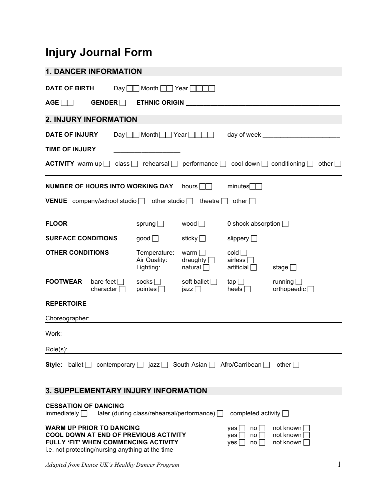## **Injury Journal Form**

| <b>1. DANCER INFORMATION</b>                                                                                                                                                                                                                                                                                                             |  |                                                    |                                                  |                                               |                                         |  |
|------------------------------------------------------------------------------------------------------------------------------------------------------------------------------------------------------------------------------------------------------------------------------------------------------------------------------------------|--|----------------------------------------------------|--------------------------------------------------|-----------------------------------------------|-----------------------------------------|--|
| <b>DATE OF BIRTH</b>                                                                                                                                                                                                                                                                                                                     |  | Day $\Box$ Month $\Box$ Year $\Box$                |                                                  |                                               |                                         |  |
| AGE GENDER ETHNIC ORIGIN                                                                                                                                                                                                                                                                                                                 |  |                                                    |                                                  |                                               |                                         |  |
| <b>2. INJURY INFORMATION</b>                                                                                                                                                                                                                                                                                                             |  |                                                    |                                                  |                                               |                                         |  |
| <b>DATE OF INJURY</b>                                                                                                                                                                                                                                                                                                                    |  | $Day \Box \Box$ Month $\Box \Box$ Year $\Box \Box$ |                                                  |                                               |                                         |  |
| <b>TIME OF INJURY</b>                                                                                                                                                                                                                                                                                                                    |  |                                                    |                                                  |                                               |                                         |  |
| <b>ACTIVITY</b> warm up $\Box$ class $\Box$ rehearsal $\Box$ performance $\Box$ cool down $\Box$ conditioning $\Box$ other $\Box$                                                                                                                                                                                                        |  |                                                    |                                                  |                                               |                                         |  |
| NUMBER OF HOURS INTO WORKING DAY hours                                                                                                                                                                                                                                                                                                   |  |                                                    |                                                  | minutes                                       |                                         |  |
| <b>VENUE</b> company/school studio $\Box$ other studio $\Box$ theatre $\Box$ other $\Box$                                                                                                                                                                                                                                                |  |                                                    |                                                  |                                               |                                         |  |
| <b>FLOOR</b>                                                                                                                                                                                                                                                                                                                             |  | sprung $\Box$                                      | wood $\Box$                                      | 0 shock absorption $\Box$                     |                                         |  |
| <b>SURFACE CONDITIONS</b>                                                                                                                                                                                                                                                                                                                |  | good                                               | sticky $\Box$                                    | slippery $\Box$                               |                                         |  |
| <b>OTHER CONDITIONS</b>                                                                                                                                                                                                                                                                                                                  |  | Temperature:<br>Air Quality:<br>Lighting:          | warm $\Box$<br>draughty $\Box$<br>natural $\Box$ | $\text{cold}$<br>airless $\Box$<br>artificial | stage $\Box$                            |  |
| <b>FOOTWEAR</b><br>bare feet $\Box$<br>character $\Box$                                                                                                                                                                                                                                                                                  |  | socks $\Box$<br>pointes $\Box$                     | soft ballet $\Box$<br>jazz $\Box$                | tap $\Box$<br>heels $\Box$                    | running $\Box$<br>orthopaedic $\square$ |  |
| <b>REPERTOIRE</b>                                                                                                                                                                                                                                                                                                                        |  |                                                    |                                                  |                                               |                                         |  |
| Choreographer:                                                                                                                                                                                                                                                                                                                           |  |                                                    |                                                  |                                               |                                         |  |
| Work:                                                                                                                                                                                                                                                                                                                                    |  |                                                    |                                                  |                                               |                                         |  |
| Role(s):                                                                                                                                                                                                                                                                                                                                 |  |                                                    |                                                  |                                               |                                         |  |
| Style: ballet $\Box$                                                                                                                                                                                                                                                                                                                     |  | contemporary $\Box$ jazz $\Box$ South Asian $\Box$ |                                                  | Afro/Carribean □                              | other $\Box$                            |  |
| <b>3. SUPPLEMENTARY INJURY INFORMATION</b>                                                                                                                                                                                                                                                                                               |  |                                                    |                                                  |                                               |                                         |  |
| <b>CESSATION OF DANCING</b><br>immediately $\Box$                                                                                                                                                                                                                                                                                        |  | later (during class/rehearsal/performance) $\Box$  |                                                  | completed activity $\Box$                     |                                         |  |
| <b>WARM UP PRIOR TO DANCING</b><br>not known<br>yes  <br>no<br><b>COOL DOWN AT END OF PREVIOUS ACTIVITY</b><br>not known<br>yes <br>no<br>$\overline{\phantom{a}}$<br><b>FULLY 'FIT' WHEN COMMENCING ACTIVITY</b><br>not known<br>yes<br>no <sub>1</sub><br>$\overline{\phantom{a}}$<br>i.e. not protecting/nursing anything at the time |  |                                                    |                                                  |                                               |                                         |  |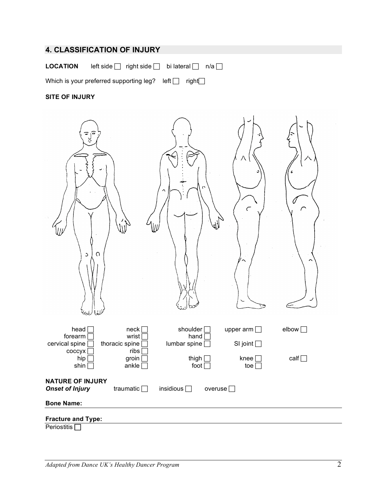## **4. CLASSIFICATION OF INJURY**

**LOCATION** left side  $\Box$  right side  $\Box$  bi lateral  $\Box$  n/a  $\Box$ 

Which is your preferred supporting leg? left $\Box$  right $\Box$ 

## **SITE OF INJURY**

| ျခ<br>$\mathfrak{S}$                              | $\Omega$                                    | $\Omega$                             | Л<br>$\epsilon$                        | $\sqrt{ }$   |
|---------------------------------------------------|---------------------------------------------|--------------------------------------|----------------------------------------|--------------|
| head [<br>forearm<br>cervical spine<br>coccyx     | neck<br>wrist [<br>thoracic spine<br>ribs [ | shoulder [<br>hand<br>lumbar spine [ | upper arm $\Box$<br>SI joint $\square$ | elbow $\Box$ |
| hip<br>shin                                       | groin<br>ankle $\square$                    | thigh [<br>foot $\Box$               | knee [<br>toe $\square$                | calf         |
| <b>NATURE OF INJURY</b><br><b>Onset of Injury</b> | traumatic $\Box$                            | insidious $\Box$<br>overuse $\Box$   |                                        |              |
| <b>Bone Name:</b>                                 |                                             |                                      |                                        |              |
| <b>Fracture and Type:</b>                         |                                             |                                      |                                        |              |
| Periostitis <sup>[</sup>                          |                                             |                                      |                                        |              |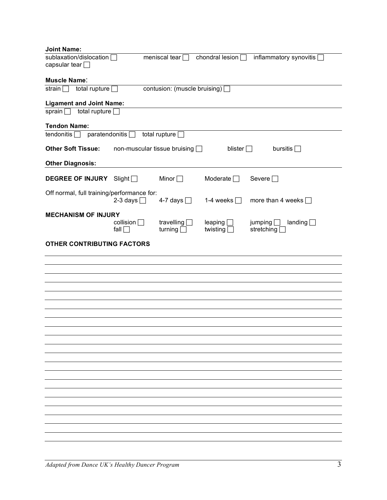| <b>Joint Name:</b>                                           |                                 |                                     |                                 |                                         |
|--------------------------------------------------------------|---------------------------------|-------------------------------------|---------------------------------|-----------------------------------------|
| sublaxation/dislocation<br>capsular tear $\Box$              |                                 | meniscal tear $\Box$                | chondral lesion $\Box$          | inflammatory synovitis [                |
| <b>Muscle Name:</b>                                          |                                 |                                     |                                 |                                         |
| total rupture [<br>strain $\Box$                             |                                 | contusion: (muscle bruising) [      |                                 |                                         |
| <b>Ligament and Joint Name:</b>                              |                                 |                                     |                                 |                                         |
| total rupture $\square$<br>sprain $\Box$                     |                                 |                                     |                                 |                                         |
| <b>Tendon Name:</b><br>paratendonitis [<br>tendonitis $\Box$ |                                 |                                     |                                 |                                         |
|                                                              |                                 | total rupture [                     |                                 |                                         |
| <b>Other Soft Tissue:</b>                                    |                                 | non-muscular tissue bruising $\Box$ | blister $\Box$                  | bursitis $\Box$                         |
| <b>Other Diagnosis:</b>                                      |                                 |                                     |                                 |                                         |
| <b>DEGREE OF INJURY</b>                                      | Slight                          | Minor $\Box$                        | Moderate $\Box$                 | Severe $\Box$                           |
| Off normal, full training/performance for:                   | 2-3 days $\Box$                 | 4-7 days $\Box$                     | 1-4 weeks $[$<br>$\blacksquare$ | more than 4 weeks $\Box$                |
| <b>MECHANISM OF INJURY</b>                                   | collision $\Box$<br>fall $\Box$ | travelling $\Box$<br>turning $\Box$ | leaping<br>twisting             | jumping<br>landing $\Box$<br>stretching |
| <b>OTHER CONTRIBUTING FACTORS</b>                            |                                 |                                     |                                 |                                         |
|                                                              |                                 |                                     |                                 |                                         |
|                                                              |                                 |                                     |                                 |                                         |
|                                                              |                                 |                                     |                                 |                                         |
|                                                              |                                 |                                     |                                 |                                         |
|                                                              |                                 |                                     |                                 |                                         |
|                                                              |                                 |                                     |                                 |                                         |
|                                                              |                                 |                                     |                                 |                                         |
|                                                              |                                 |                                     |                                 |                                         |
|                                                              |                                 |                                     |                                 |                                         |
|                                                              |                                 |                                     |                                 |                                         |
|                                                              |                                 |                                     |                                 |                                         |
|                                                              |                                 |                                     |                                 |                                         |
|                                                              |                                 |                                     |                                 |                                         |
|                                                              |                                 |                                     |                                 |                                         |
|                                                              |                                 |                                     |                                 |                                         |
|                                                              |                                 |                                     |                                 |                                         |
|                                                              |                                 |                                     |                                 |                                         |
|                                                              |                                 |                                     |                                 |                                         |
|                                                              |                                 |                                     |                                 |                                         |
|                                                              |                                 |                                     |                                 |                                         |